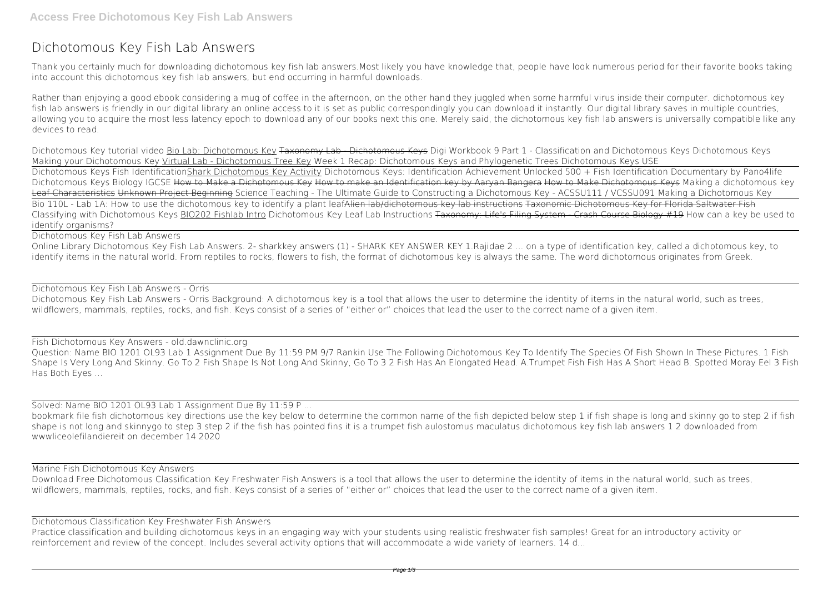# **Dichotomous Key Fish Lab Answers**

Thank you certainly much for downloading **dichotomous key fish lab answers**.Most likely you have knowledge that, people have look numerous period for their favorite books taking into account this dichotomous key fish lab answers, but end occurring in harmful downloads.

Rather than enjoying a good ebook considering a mug of coffee in the afternoon, on the other hand they juggled when some harmful virus inside their computer. **dichotomous key fish lab answers** is friendly in our digital library an online access to it is set as public correspondingly you can download it instantly. Our digital library saves in multiple countries, allowing you to acquire the most less latency epoch to download any of our books next this one. Merely said, the dichotomous key fish lab answers is universally compatible like any devices to read.

Online Library Dichotomous Key Fish Lab Answers. 2- sharkkey answers (1) - SHARK KEY ANSWER KEY 1.Rajidae 2 ... on a type of identification key, called a dichotomous key, to identify items in the natural world. From reptiles to rocks, flowers to fish, the format of dichotomous key is always the same. The word dichotomous originates from Greek.

Dichotomous Key tutorial video Bio Lab: Dichotomous Key Taxonomy Lab - Dichotomous Keys *Digi Workbook 9 Part 1 - Classification and Dichotomous Keys* Dichotomous Keys *Making your Dichotomous Key* Virtual Lab - Dichotomous Tree Key Week 1 Recap: Dichotomous Keys and Phylogenetic Trees Dichotomous Keys USE Dichotomous Keys Fish IdentificationShark Dichotomous Key Activity *Dichotomous Keys: Identification Achievement Unlocked* 500 + Fish Identification Documentary by Pano4life **Dichotomous Keys Biology IGCSE** How to Make a Dichotomous Key How to make an Identification key by Aaryan Bangera How to Make Dichotomous Keys *Making a dichotomous key* Leaf Characteristics Unknown Project Beginning *Science Teaching - The Ultimate Guide to Constructing a Dichotomous Key - ACSSU111 / VCSSU091 Making a Dichotomous Key* Bio 110L - Lab 1A: How to use the dichotomous key to identify a plant leafAlien lab/dichotomous key lab instructions Taxonomic Dichotomous Key for Florida Saltwater Fish *Classifying with Dichotomous Keys* BIO202 Fishlab Intro Dichotomous Key Leaf Lab Instructions Taxonomy: Life's Filing System - Crash Course Biology #19 **How can a key be used to identify organisms?**

Dichotomous Key Fish Lab Answers

## Dichotomous Key Fish Lab Answers - Orris

Dichotomous Key Fish Lab Answers - Orris Background: A dichotomous key is a tool that allows the user to determine the identity of items in the natural world, such as trees, wildflowers, mammals, reptiles, rocks, and fish. Keys consist of a series of "either or" choices that lead the user to the correct name of a given item.

### Fish Dichotomous Key Answers - old.dawnclinic.org

Question: Name BIO 1201 OL93 Lab 1 Assignment Due By 11:59 PM 9/7 Rankin Use The Following Dichotomous Key To Identify The Species Of Fish Shown In These Pictures. 1 Fish Shape Is Very Long And Skinny. Go To 2 Fish Shape Is Not Long And Skinny, Go To 3 2 Fish Has An Elongated Head. A.Trumpet Fish Fish Has A Short Head B. Spotted Moray Eel 3 Fish Has Both Eyes ...

Solved: Name BIO 1201 OL93 Lab 1 Assignment Due By 11:59 P ...

bookmark file fish dichotomous key directions use the key below to determine the common name of the fish depicted below step 1 if fish shape is long and skinny go to step 2 if fish shape is not long and skinnygo to step 3 step 2 if the fish has pointed fins it is a trumpet fish aulostomus maculatus dichotomous key fish lab answers 1 2 downloaded from wwwliceolefilandiereit on december 14 2020

### Marine Fish Dichotomous Key Answers

Download Free Dichotomous Classification Key Freshwater Fish Answers is a tool that allows the user to determine the identity of items in the natural world, such as trees, wildflowers, mammals, reptiles, rocks, and fish. Keys consist of a series of "either or" choices that lead the user to the correct name of a given item.

### Dichotomous Classification Key Freshwater Fish Answers

Practice classification and building dichotomous keys in an engaging way with your students using realistic freshwater fish samples! Great for an introductory activity or reinforcement and review of the concept. Includes several activity options that will accommodate a wide variety of learners. 14 d...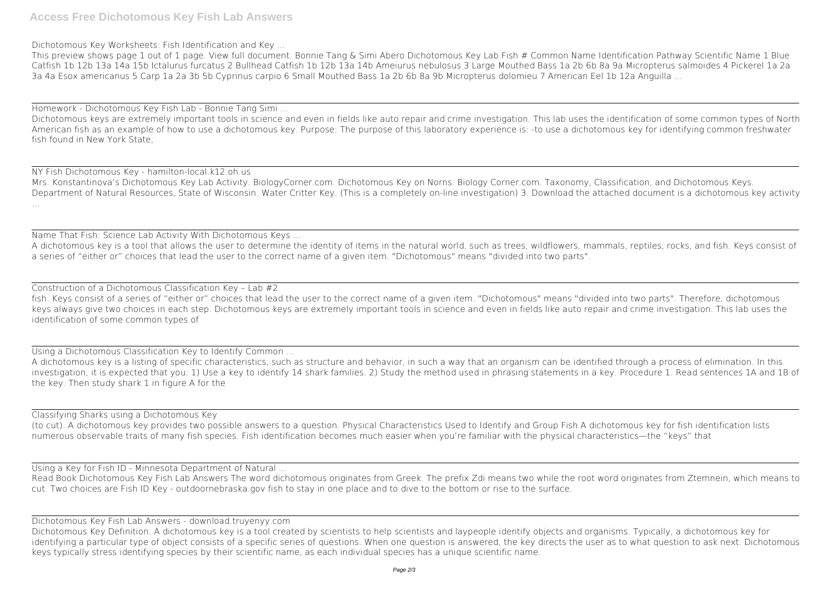Dichotomous Key Worksheets: Fish Identification and Key ...

This preview shows page 1 out of 1 page. View full document. Bonnie Tang & Simi Abero Dichotomous Key Lab Fish # Common Name Identification Pathway Scientific Name 1 Blue Catfish 1b 12b 13a 14a 15b Ictalurus furcatus 2 Bullhead Catfish 1b 12b 13a 14b Ameiurus nebulosus 3 Large Mouthed Bass 1a 2b 6b 8a 9a Micropterus salmoides 4 Pickerel 1a 2a 3a 4a Esox americanus 5 Carp 1a 2a 3b 5b Cyprinus carpio 6 Small Mouthed Bass 1a 2b 6b 8a 9b Micropterus dolomieu 7 American Eel 1b 12a Anguilla ...

Homework - Dichotomous Key Fish Lab - Bonnie Tang Simi ... Dichotomous keys are extremely important tools in science and even in fields like auto repair and crime investigation. This lab uses the identification of some common types of North American fish as an example of how to use a dichotomous key. Purpose: The purpose of this laboratory experience is: -to use a dichotomous key for identifying common freshwater fish found in New York State,

NY Fish Dichotomous Key - hamilton-local.k12.oh.us Mrs. Konstantinova's Dichotomous Key Lab Activity. BiologyCorner.com. Dichotomous Key on Norns. Biology Corner.com. Taxonomy, Classification, and Dichotomous Keys. Department of Natural Resources, State of Wisconsin. Water Critter Key. (This is a completely on-line investigation) 3. Download the attached document is a dichotomous key activity ...

Name That Fish: Science Lab Activity With Dichotomous Keys ... A dichotomous key is a tool that allows the user to determine the identity of items in the natural world, such as trees, wildflowers, mammals, reptiles, rocks, and fish. Keys consist of a series of "either or" choices that lead the user to the correct name of a given item. "Dichotomous" means "divided into two parts".

Construction of a Dichotomous Classification Key – Lab #2 fish. Keys consist of a series of "either or" choices that lead the user to the correct name of a given item. "Dichotomous" means "divided into two parts". Therefore, dichotomous keys always give two choices in each step. Dichotomous keys are extremely important tools in science and even in fields like auto repair and crime investigation. This lab uses the identification of some common types of

Using a Dichotomous Classification Key to Identify Common ...

A dichotomous key is a listing of specific characteristics, such as structure and behavior, in such a way that an organism can be identified through a process of elimination. In this investigation, it is expected that you: 1) Use a key to identify 14 shark families. 2) Study the method used in phrasing statements in a key. Procedure 1. Read sentences 1A and 1B of the key. Then study shark 1 in figure A for the

Classifying Sharks using a Dichotomous Key

(to cut). A dichotomous key provides two possible answers to a question. Physical Characteristics Used to Identify and Group Fish A dichotomous key for fish identification lists numerous observable traits of many fish species. Fish identification becomes much easier when you're familiar with the physical characteristics—the "keys" that

Using a Key for Fish ID - Minnesota Department of Natural ...

Read Book Dichotomous Key Fish Lab Answers The word dichotomous originates from Greek. The prefix Zdi means two while the root word originates from Ztemnein, which means to cut. Two choices are Fish ID Key - outdoornebraska.gov fish to stay in one place and to dive to the bottom or rise to the surface.

Dichotomous Key Fish Lab Answers - download.truyenyy.com

Dichotomous Key Definition. A dichotomous key is a tool created by scientists to help scientists and laypeople identify objects and organisms. Typically, a dichotomous key for identifying a particular type of object consists of a specific series of questions. When one question is answered, the key directs the user as to what question to ask next. Dichotomous keys typically stress identifying species by their scientific name, as each individual species has a unique scientific name.